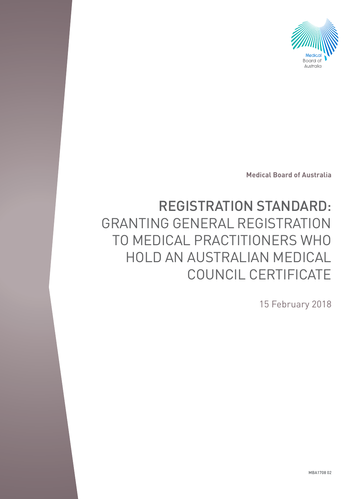

**Medical Board of Australia**

# REGISTRATION STANDARD: GRANTING GENERAL REGISTRATION TO MEDICAL PRACTITIONERS WHO HOLD AN AUSTRALIAN MEDICAL COUNCIL CERTIFICATE

15 February 2018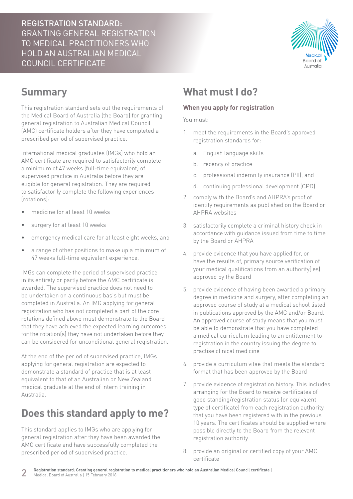REGISTRATION STANDARD: GRANTING GENERAL REGISTRATION TO MEDICAL PRACTITIONERS WHO HOLD AN AUSTRALIAN MEDICAL COUNCIL CERTIFICATE



## **Summary**

This registration standard sets out the requirements of the Medical Board of Australia (the Board) for granting general registration to Australian Medical Council (AMC) certificate holders after they have completed a prescribed period of supervised practice.

International medical graduates (IMGs) who hold an AMC certificate are required to satisfactorily complete a minimum of 47 weeks (full-time equivalent) of supervised practice in Australia before they are eligible for general registration. They are required to satisfactorily complete the following experiences (rotations):

- medicine for at least 10 weeks
- surgery for at least 10 weeks
- emergency medical care for at least eight weeks, and
- a range of other positions to make up a minimum of 47 weeks full-time equivalent experience.

IMGs can complete the period of supervised practice in its entirety or partly before the AMC certificate is awarded. The supervised practice does not need to be undertaken on a continuous basis but must be completed in Australia. An IMG applying for general registration who has not completed a part of the core rotations defined above must demonstrate to the Board that they have achieved the expected learning outcomes for the rotation(s) they have not undertaken before they can be considered for unconditional general registration.

At the end of the period of supervised practice, IMGs applying for general registration are expected to demonstrate a standard of practice that is at least equivalent to that of an Australian or New Zealand medical graduate at the end of intern training in Australia.

## **Does this standard apply to me?**

This standard applies to IMGs who are applying for general registration after they have been awarded the AMC certificate and have successfully completed the prescribed period of supervised practice.

### **What must I do?**

#### **When you apply for registration**

You must:

- 1. meet the requirements in the Board's approved registration standards for:
	- a. English language skills
	- b. recency of practice
	- c. professional indemnity insurance (PII), and
	- d. continuing professional development (CPD).
- 2. comply with the Board's and AHPRA's proof of identity requirements as published on the Board or AHPRA websites
- 3. satisfactorily complete a criminal history check in accordance with guidance issued from time to time by the Board or AHPRA
- 4. provide evidence that you have applied for, or have the results of, primary source verification of your medical qualifications from an authority(ies) approved by the Board
- 5. provide evidence of having been awarded a primary degree in medicine and surgery, after completing an approved course of study at a medical school listed in publications approved by the AMC and/or Board. An approved course of study means that you must be able to demonstrate that you have completed a medical curriculum leading to an entitlement to registration in the country issuing the degree to practise clinical medicine
- 6. provide a curriculum vitae that meets the standard format that has been approved by the Board
- 7. provide evidence of registration history. This includes arranging for the Board to receive certificates of good standing/registration status (or equivalent type of certificate) from each registration authority that you have been registered with in the previous 10 years. The certificates should be supplied where possible directly to the Board from the relevant registration authority
- 8. provide an original or certified copy of your AMC certificate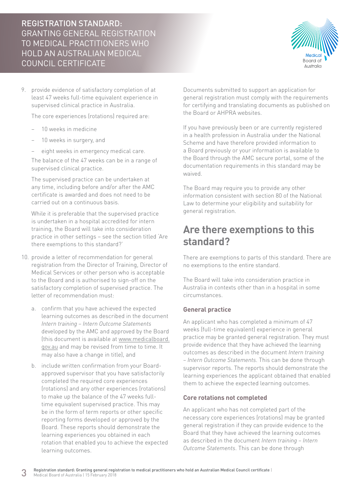### REGISTRATION STANDARD: GRANTING GENERAL REGISTRATION TO MEDICAL PRACTITIONERS WHO HOLD AN AUSTRALIAN MEDICAL COUNCIL CERTIFICATE



9. provide evidence of satisfactory completion of at least 47 weeks full-time equivalent experience in supervised clinical practice in Australia.

The core experiences (rotations) required are:

- − 10 weeks in medicine
- 10 weeks in surgery, and
- eight weeks in emergency medical care.

The balance of the 47 weeks can be in a range of supervised clinical practice.

The supervised practice can be undertaken at any time, including before and/or after the AMC certificate is awarded and does not need to be carried out on a continuous basis.

While it is preferable that the supervised practice is undertaken in a hospital accredited for intern training, the Board will take into consideration practice in other settings – see the section titled 'Are there exemptions to this standard?'

- 10. provide a letter of recommendation for general registration from the Director of Training, Director of Medical Services or other person who is acceptable to the Board and is authorised to sign-off on the satisfactory completion of supervised practice. The letter of recommendation must:
	- a. confirm that you have achieved the expected learning outcomes as described in the document *Intern training – Intern Outcome Statements* developed by the AMC and approved by the Board (this document is available at [www.medicalboard.](http://www.medicalboard.gov.au) [gov.au](http://www.medicalboard.gov.au) and may be revised from time to time. It may also have a change in title), and
	- b. include written confirmation from your Boardapproved supervisor that you have satisfactorily completed the required core experiences (rotations) and any other experiences (rotations) to make up the balance of the 47 weeks fulltime equivalent supervised practice. This may be in the form of term reports or other specific reporting forms developed or approved by the Board. These reports should demonstrate the learning experiences you obtained in each rotation that enabled you to achieve the expected learning outcomes.

Documents submitted to support an application for general registration must comply with the requirements for certifying and translating documents as published on the Board or AHPRA websites.

If you have previously been or are currently registered in a health profession in Australia under the National Scheme and have therefore provided information to a Board previously or your information is available to the Board through the AMC secure portal, some of the documentation requirements in this standard may be waived.

The Board may require you to provide any other information consistent with section 80 of the National Law to determine your eligibility and suitability for general registration.

### **Are there exemptions to this standard?**

There are exemptions to parts of this standard. There are no exemptions to the entire standard.

The Board will take into consideration practice in Australia in contexts other than in a hospital in some circumstances.

#### **General practice**

An applicant who has completed a minimum of 47 weeks (full-time equivalent) experience in general practice may be granted general registration. They must provide evidence that they have achieved the learning outcomes as described in the document *Intern training – Intern Outcome Statements*. This can be done through supervisor reports. The reports should demonstrate the learning experiences the applicant obtained that enabled them to achieve the expected learning outcomes.

#### **Core rotations not completed**

An applicant who has not completed part of the necessary core experiences (rotations) may be granted general registration if they can provide evidence to the Board that they have achieved the learning outcomes as described in the document *Intern training – Intern Outcome Statements*. This can be done through